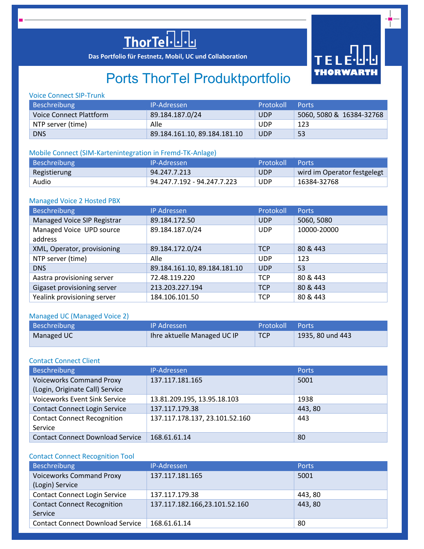

**Das Portfolio für Festnetz, Mobil, UC und Collaboration**



# Ports ThorTel Produktportfolio

# Voice Connect SIP-Trunk

| Beschreibung            | IP-Adressen                  | Protokoll  | <b>Ports</b>             |
|-------------------------|------------------------------|------------|--------------------------|
| Voice Connect Plattform | 89.184.187.0/24              | <b>UDP</b> | 5060, 5080 & 16384-32768 |
| NTP server (time)       | Alle                         | <b>UDP</b> | 123                      |
| <b>DNS</b>              | 89.184.161.10, 89.184.181.10 | <b>UDP</b> | 53                       |

# Mobile Connect (SIM-Kartenintegration in Fremd-TK-Anlage)

| Beschreibung | <b>IP-Adressen</b>          | Protokoll Ports |                             |
|--------------|-----------------------------|-----------------|-----------------------------|
| Registierung | 94.247.7.213                | <b>UDP</b>      | wird im Operator festgelegt |
| Audio        | 94.247.7.192 - 94.247.7.223 | <b>UDP</b>      | 16384-32768                 |

#### Managed Voice 2 Hosted PBX

| <b>Beschreibung</b>                 | <b>IP Adressen</b>           | Protokoll  | Ports       |
|-------------------------------------|------------------------------|------------|-------------|
| Managed Voice SIP Registrar         | 89.184.172.50                | <b>UDP</b> | 5060, 5080  |
| Managed Voice UPD source<br>address | 89.184.187.0/24              | <b>UDP</b> | 10000-20000 |
| XML, Operator, provisioning         | 89.184.172.0/24              | <b>TCP</b> | 80 & 443    |
| NTP server (time)                   | Alle                         | <b>UDP</b> | 123         |
| <b>DNS</b>                          | 89.184.161.10, 89.184.181.10 | <b>UDP</b> | 53          |
| Aastra provisioning server          | 72.48.119.220                | <b>TCP</b> | 80 & 443    |
| Gigaset provisioning server         | 213.203.227.194              | <b>TCP</b> | 80 & 443    |
| Yealink provisioning server         | 184.106.101.50               | <b>TCP</b> | 80 & 443    |

# Managed UC (Managed Voice 2)

| Beschreibung | <b>IP Adressen</b>          | Protokoll  | Ports            |
|--------------|-----------------------------|------------|------------------|
| Managed UC   | Thre aktuelle Managed UC IP | <b>TCP</b> | 1935, 80 und 443 |

# Contact Connect Client

| Beschreibung                            | IP-Adressen                    | <b>Ports</b> |
|-----------------------------------------|--------------------------------|--------------|
| <b>Voiceworks Command Proxy</b>         | 137.117.181.165                | 5001         |
| (Login, Originate Call) Service         |                                |              |
| <b>Voiceworks Event Sink Service</b>    | 13.81.209.195, 13.95.18.103    | 1938         |
| <b>Contact Connect Login Service</b>    | 137.117.179.38                 | 443,80       |
| <b>Contact Connect Recognition</b>      | 137.117.178.137, 23.101.52.160 | 443          |
| Service                                 |                                |              |
| <b>Contact Connect Download Service</b> | 168.61.61.14                   | 80           |

#### Contact Connect Recognition Tool

| Beschreibung                            | IP-Adressen                   | Ports   |
|-----------------------------------------|-------------------------------|---------|
| <b>Voiceworks Command Proxy</b>         | 137.117.181.165               | 5001    |
| (Login) Service                         |                               |         |
| <b>Contact Connect Login Service</b>    | 137.117.179.38                | 443, 80 |
| <b>Contact Connect Recognition</b>      | 137.117.182.166,23.101.52.160 | 443, 80 |
| Service                                 |                               |         |
| <b>Contact Connect Download Service</b> | 168.61.61.14                  | -80     |